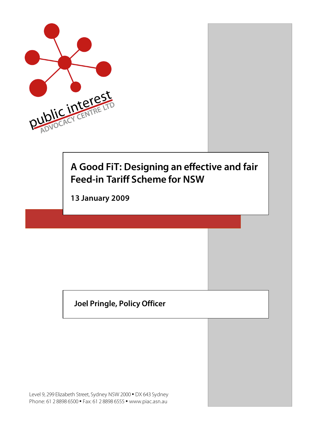

# **A Good FiT: Designing an effective and fair Feed-in Tariff Scheme for NSW**

**13 January 2009**

### **Joel Pringle, Policy Officer**

Level 9, 299 Elizabeth Street, Sydney NSW 2000 • DX 643 Sydney Phone: 61 2 8898 6500 • Fax: 61 2 8898 6555 • www.piac.asn.au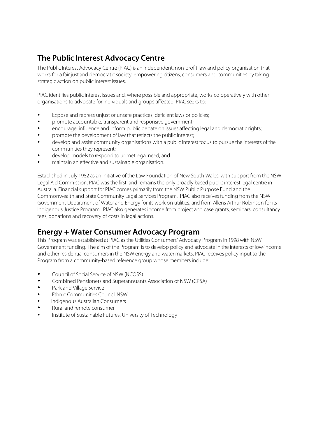### **The Public Interest Advocacy Centre**

The Public Interest Advocacy Centre (PIAC) is an independent, non-profit law and policy organisation that works for a fair just and democratic society, empowering citizens, consumers and communities by taking strategic action on public interest issues.

PIAC identifies public interest issues and, where possible and appropriate, works co-operatively with other organisations to advocate for individuals and groups affected. PIAC seeks to:

- Expose and redress uniust or unsafe practices, deficient laws or policies;
- promote accountable, transparent and responsive government;
- encourage, influence and inform public debate on issues affecting legal and democratic rights;
- promote the development of law that reflects the public interest;
- develop and assist community organisations with a public interest focus to pursue the interests of the communities they represent;
- develop models to respond to unmet legal need; and
- maintain an effective and sustainable organisation.

Established in July 1982 as an initiative of the Law Foundation of New South Wales, with support from the NSW Legal Aid Commission, PIAC was the first, and remains the only broadly based public interest legal centre in Australia. Financial support for PIAC comes primarily from the NSW Public Purpose Fund and the Commonwealth and State Community Legal Services Program. PIAC also receives funding from the NSW Government Department of Water and Energy for its work on utilities, and from Allens Arthur Robinson for its Indigenous Justice Program. PIAC also generates income from project and case grants, seminars, consultancy fees, donations and recovery of costs in legal actions.

#### **Energy + Water Consumer Advocacy Program**

This Program was established at PIAC as the Utilities Consumers' Advocacy Program in 1998 with NSW Government funding. The aim of the Program is to develop policy and advocate in the interests of low-income and other residential consumers in the NSW energy and water markets. PIAC receives policy input to the Program from a community-based reference group whose members include:

- Council of Social Service of NSW (NCOSS)
- Combined Pensioners and Superannuants Association of NSW (CPSA)
- Park and Village Service
- Ethnic Communities Council NSW
- Indigenous Australian Consumers
- Rural and remote consumer
- Institute of Sustainable Futures, University of Technology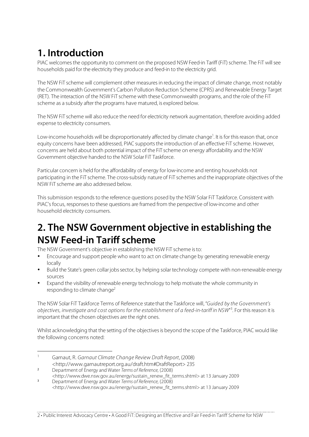# **1. Introduction**

PIAC welcomes the opportunity to comment on the proposed NSW Feed-in Tariff (FiT) scheme. The FiT will see households paid for the electricity they produce and feed-in to the electricity grid.

The NSW FiT scheme will complement other measures in reducing the impact of climate change, most notably the Commonwealth Government's Carbon Pollution Reduction Scheme (CPRS) and Renewable Energy Target (RET). The interaction of the NSW FiT scheme with these Commonwealth programs, and the role of the FiT scheme as a subsidy after the programs have matured, is explored below.

The NSW FiT scheme will also reduce the need for electricity network augmentation, therefore avoiding added expense to electricity consumers.

Low-income households will be disproportionately affected by climate change<sup>1</sup>. It is for this reason that, once equity concerns have been addressed, PIAC supports the introduction of an effective FiT scheme. However, concerns are held about both potential impact of the FiT scheme on energy affordability and the NSW Government objective handed to the NSW Solar FiT Taskforce.

Particular concern is held for the affordability of energy for low-income and renting households not participating in the FiT scheme. The cross-subsidy nature of FiT schemes and the inappropriate objectives of the NSW FiT scheme are also addressed below.

This submission responds to the reference questions posed by the NSW Solar FiT Taskforce. Consistent with PIAC's focus, responses to these questions are framed from the perspective of low-income and other household electricity consumers.

## **2. The NSW Government objective in establishing the NSW Feed-in Tariff scheme**

The NSW Government's objective in establishing the NSW FiT scheme is to:

- Encourage and support people who want to act on climate change by generating renewable energy locally
- Build the State's green collar jobs sector, by helping solar technology compete with non-renewable energy sources
- Expand the visibility of renewable energy technology to help motivate the whole community in responding to climate change<sup>2</sup>

The NSW Solar FiT Taskforce Terms of Reference state that the Taskforce will, "Guided by the Government's objectives, investigate and cost options for the establishment of a feed-in-tariff in NSW"<sup>3</sup>. For this reason it is important that the chosen objectives are the right ones.

Whilst acknowledging that the setting of the objectives is beyond the scope of the Taskforce, PIAC would like the following concerns noted:

- 1 Garnaut, R. Garnaut Climate Change Review Draft Report, (2008) <http://www.garnautreport.org.au/draft.htm#DraftReport> 235
- <sup>2</sup> Department of Energy and Water Terms of Reference, (2008)
- <http://www.dwe.nsw.gov.au/energy/sustain\_renew\_fit\_terms.shtml> at 13 January 2009 <sup>3</sup> Department of Energy and Water Terms of Reference, (2008)
- <http://www.dwe.nsw.gov.au/energy/sustain\_renew\_fit\_terms.shtml> at 13 January 2009

2 • Public Interest Advocacy Centre • A Good FiT: Designing an Effective and Fair Feed-in Tariff Scheme for NSW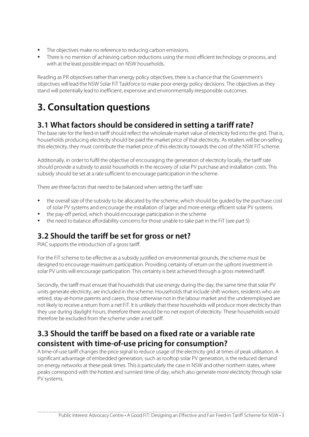- The objectives make no reference to reducing carbon emissions.
- There is no mention of achieving carbon reductions using the most efficient technology or process, and with at the least possible impact on NSW households.

Reading as PR objectives rather than energy policy objectives, there is a chance that the Government's objectives will lead the NSW Solar FiT Taskforce to make poor energy policy decisions. The objectives as they stand will potentially lead to inefficient, expensive and environmentally irresponsible outcomes.

# **3. Consultation questions**

#### **3.1 What factors should be considered in setting a tariff rate?**

The base rate for the feed-in tariff should reflect the wholesale market value of electricity fed into the grid. That is, households producing electricity should be paid the market price of that electricity. As retailers will be on-selling this electricity, they must contribute the market price of this electricity towards the cost of the NSW FiT scheme.

Additionally, in order to fulfil the objective of encouraging the generation of electricity locally, the tariff rate should provide a subsidy to assist households in the recovery of solar PV purchase and installation costs. This subsidy should be set at a rate sufficient to encourage participation in the scheme.

There are three factors that need to be balanced when setting the tariff rate:

- the overall size of the subsidy to be allocated by the scheme, which should be guided by the purchase cost of solar PV systems and encourage the installation of larger and more energy efficient solar PV systems
- the pay-off period, which should encourage participation in the scheme
- the need to balance affordability concerns for those unable to take part in the FiT (see part 5)

#### **3.2 Should the tariff be set for gross or net?**

PIAC supports the introduction of a gross tariff.

For the FiT scheme to be effective as a subsidy justified on environmental grounds, the scheme must be designed to encourage maximum participation. Providing certainty of return on the upfront investment in solar PV units will encourage participation. This certainty is best achieved through a gross metered tariff.

Secondly, the tariff must ensure that households that use energy during the day, the same time that solar PV units generate electricity, are included in the scheme. Households that include shift workers, residents who are retired, stay-at-home parents and carers, those otherwise not in the labour market and the underemployed are not likely to receive a return from a net FiT. It is unlikely that these households will produce more electricity than they use during daylight hours, therefore there would be no net export of electricity. These households would therefore be excluded from the scheme under a net tariff.

### **3.3 Should the tariff be based on a fixed rate or a variable rate consistent with time-of-use pricing for consumption?**

A time-of-use tariff changes the price signal to reduce usage of the electricity grid at times of peak utilisation. A significant advantage of embedded generation, such as rooftop solar PV generation, is the reduced demand on energy networks at these peak times. This is particularly the case in NSW and other northern states, where peaks correspond with the hottest and sunniest time of day, which also generate more electricity through solar PV systems.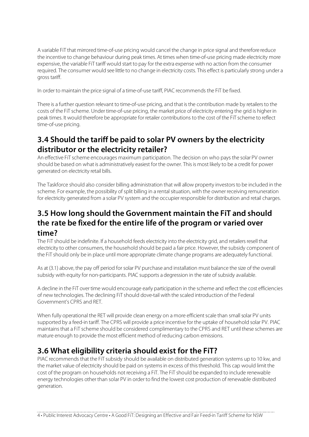A variable FiT that mirrored time-of-use pricing would cancel the change in price signal and therefore reduce the incentive to change behaviour during peak times. At times when time-of-use pricing made electricity more expensive, the variable FiT tariff would start to pay for the extra expense with no action from the consumer required. The consumer would see little to no change in electricity costs. This effect is particularly strong under a gross tariff.

In order to maintain the price signal of a time-of-use tariff, PIAC recommends the FiT be fixed.

There is a further question relevant to time-of-use pricing, and that is the contribution made by retailers to the costs of the FiT scheme. Under time-of-use pricing, the market price of electricity entering the grid is higher in peak times. It would therefore be appropriate for retailer contributions to the cost of the FiT scheme to reflect time-of-use pricing.

### **3.4 Should the tariff be paid to solar PV owners by the electricity distributor or the electricity retailer?**

An effective FiT scheme encourages maximum participation. The decision on who pays the solar PV owner should be based on what is administratively easiest for the owner. This is most likely to be a credit for power generated on electricity retail bills.

The Taskforce should also consider billing administration that will allow property investors to be included in the scheme. For example, the possibility of split billing in a rental situation, with the owner receiving remuneration for electricity generated from a solar PV system and the occupier responsible for distribution and retail charges.

#### **3.5 How long should the Government maintain the FiT and should the rate be fixed for the entire life of the program or varied over time?**

The FiT should be indefinite. If a household feeds electricity into the electricity grid, and retailers resell that electricity to other consumers, the household should be paid a fair price. However, the subsidy component of the FiT should only be in place until more appropriate climate change programs are adequately functional.

As at (3.1) above, the pay off period for solar PV purchase and installation must balance the size of the overall subsidy with equity for non-participants. PIAC supports a degression in the rate of subsidy available.

A decline in the FiT over time would encourage early participation in the scheme and reflect the cost efficiencies of new technologies. The declining FiT should dove-tail with the scaled introduction of the Federal Government's CPRS and RET.

When fully operational the RET will provide clean energy on a more efficient scale than small solar PV units supported by a feed-in tariff. The CPRS will provide a price incentive for the uptake of household solar PV. PIAC maintains that a FiT scheme should be considered complimentary to the CPRS and RET until these schemes are mature enough to provide the most efficient method of reducing carbon emissions.

### **3.6 What eligibility criteria should exist for the FiT?**

PIAC recommends that the FiT subsidy should be available on distributed generation systems up to 10 kw, and the market value of electricity should be paid on systems in excess of this threshold. This cap would limit the cost of the program on households not receiving a FiT. The FiT should be expanded to include renewable energy technologies other than solar PV in order to find the lowest cost production of renewable distributed generation.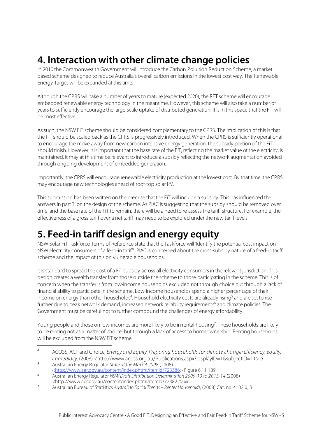# **4. Interaction with other climate change policies**

In 2010 the Commonwealth Government will introduce the Carbon Pollution Reduction Scheme, a market based scheme designed to reduce Australia's overall carbon emissions in the lowest cost way. The Renewable Energy Target will be expanded at this time.

Although the CPRS will take a number of years to mature (expected 2020), the RET scheme will encourage embedded renewable energy technology in the meantime. However, this scheme will also take a number of years to sufficiently encourage the large-scale uptake of distributed generation. It is in this space that the FiT will be most effective.

As such, the NSW FiT scheme should be considered complementary to the CPRS. The implication of this is that the FiT should be scaled back as the CPRS is progressively introduced. When the CPRS is sufficiently operational to encourage the move away from new carbon intensive energy generation, the subsidy portion of the FiT should finish. However, it is important that the base rate of the FiT, reflecting the market value of the electricity, is maintained. It may at this time be relevant to introduce a subsidy reflecting the network augmentation avoided through ongoing development of embedded generation.

Importantly, the CPRS will encourage renewable electricity production at the lowest cost. By that time, the CPRS may encourage new technologies ahead of roof-top solar PV.

This submission has been written on the premise that the FiT will include a subsidy. This has influenced the answers in part 3, on the design of the scheme. As PIAC is suggesting that the subsidy should be removed over time, and the base rate of the FiT to remain, there will be a need to re-assess the tariff structure. For example, the effectiveness of a gross tariff over a net tariff may need to be explored under the new tariff levels.

# **5. Feed-in tariff design and energy equity**

NSW Solar FiT Taskforce Terms of Reference state that the Taskforce will 'Identify the potential cost impact on NSW electricity consumers of a feed-in tariff'. PIAC is concerned about the cross-subsidy nature of a feed-in tariff scheme and the impact of this on vulnerable households.

It is standard to spread the cost of a FiT subsidy across all electricity consumers in the relevant jurisdiction. This design creates a wealth transfer from those outside the scheme to those participating in the scheme. This is of concern when the transfer is from low-income households excluded not through choice but through a lack of financial ability to participate in the scheme. Low-income households spend a higher percentage of their income on energy than other households<sup>4</sup>. Household electricity costs are already rising<sup>5</sup> and are set to rise further due to peak network demand, increased network reliability requirements<sup>6</sup> and climate policies. The Government must be careful not to further compound the challenges of energy affordability.

Young people and those on low-incomes are more likely to be in rental housing<sup>7</sup>. These households are likely to be renting not as a matter of choice, but through a lack of access to homeownership. Renting households will be excluded from the NSW FiT scheme.

<sup>&</sup>lt;sup>4</sup> ACOSS, ACF and Choice, Energy and Equity, Preparing households for climate change: efficiency, equity, immediacy. (2008) <http://www.acoss.org.au/Publications.aspx?displayID=1&subjectID=11> 6 <sup>5</sup> Australian Energy Regulator State of the Market 2008 (2008)

<sup>&</sup>lt;http://www.aer.gov.au/content/index.phtml/itemId/723386> Figure 6.11 189

<sup>6</sup> Australian Energy Regulator NSW Draft Distribution Determination 2009-10 to 2013-14 (2008) <http://www.aer.gov.au/content/index.phtml/itemId/723822> xii

<sup>7</sup> Australian Bureau of Statistics Australian Social Trends – Renter Households, (2008) Cat. no. 4102.0, 3